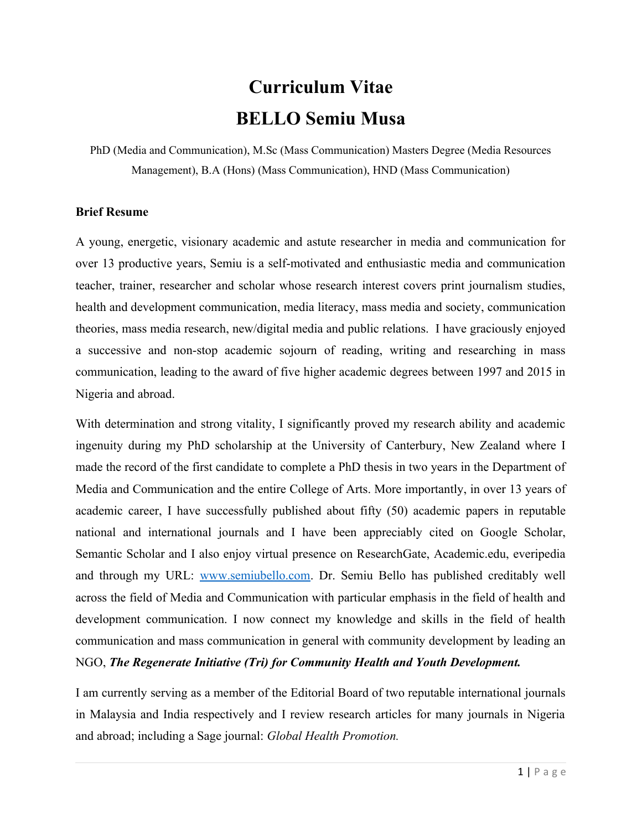# **Curriculum Vitae BELLO Semiu Musa**

PhD (Media and Communication), M.Sc (Mass Communication) Masters Degree (Media Resources Management), B.A (Hons) (Mass Communication), HND (Mass Communication)

#### **Brief Resume**

A young, energetic, visionary academic and astute researcher in media and communication for over 13 productive years, Semiu is a self-motivated and enthusiastic media and communication teacher, trainer, researcher and scholar whose research interest covers print journalism studies, health and development communication, media literacy, mass media and society, communication theories, mass media research, new/digital media and public relations. I have graciously enjoyed a successive and non-stop academic sojourn of reading, writing and researching in mass communication, leading to the award of five higher academic degrees between 1997 and 2015 in Nigeria and abroad.

With determination and strong vitality, I significantly proved my research ability and academic ingenuity during my PhD scholarship at the University of Canterbury, New Zealand where I made the record of the first candidate to complete a PhD thesis in two years in the Department of Media and Communication and the entire College of Arts. More importantly, in over 13 years of academic career, I have successfully published about fifty (50) academic papers in reputable national and international journals and I have been appreciably cited on Google Scholar, Semantic Scholar and I also enjoy virtual presence on ResearchGate, Academic.edu, everipedia and through my URL: [www.semiubello.com](http://www.semiubello.com/). Dr. Semiu Bello has published creditably well across the field of Media and Communication with particular emphasis in the field of health and development communication. I now connect my knowledge and skills in the field of health communication and mass communication in general with community development by leading an NGO, *The Regenerate Initiative (Tri) for Community Health and Youth Development.*

I am currently serving as a member of the Editorial Board of two reputable international journals in Malaysia and India respectively and I review research articles for many journals in Nigeria and abroad; including a Sage journal: *Global Health Promotion.*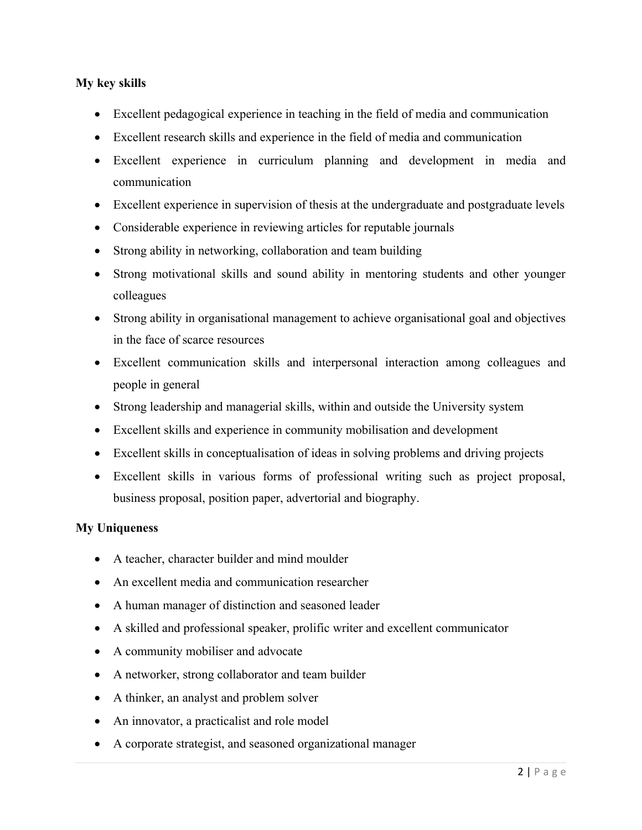### **My key skills**

- Excellent pedagogical experience in teaching in the field of media and communication
- Excellent research skills and experience in the field of media and communication
- Excellent experience in curriculum planning and development in media and communication
- Excellent experience in supervision of thesis at the undergraduate and postgraduate levels
- Considerable experience in reviewing articles for reputable journals
- Strong ability in networking, collaboration and team building
- Strong motivational skills and sound ability in mentoring students and other younger colleagues
- Strong ability in organisational management to achieve organisational goal and objectives in the face of scarce resources
- Excellent communication skills and interpersonal interaction among colleagues and people in general
- Strong leadership and managerial skills, within and outside the University system
- Excellent skills and experience in community mobilisation and development
- Excellent skills in conceptualisation of ideas in solving problems and driving projects
- Excellent skills in various forms of professional writing such as project proposal, business proposal, position paper, advertorial and biography.

#### **My Uniqueness**

- A teacher, character builder and mind moulder
- An excellent media and communication researcher
- A human manager of distinction and seasoned leader
- A skilled and professional speaker, prolific writer and excellent communicator
- A community mobiliser and advocate
- A networker, strong collaborator and team builder
- A thinker, an analyst and problem solver
- An innovator, a practicalist and role model
- A corporate strategist, and seasoned organizational manager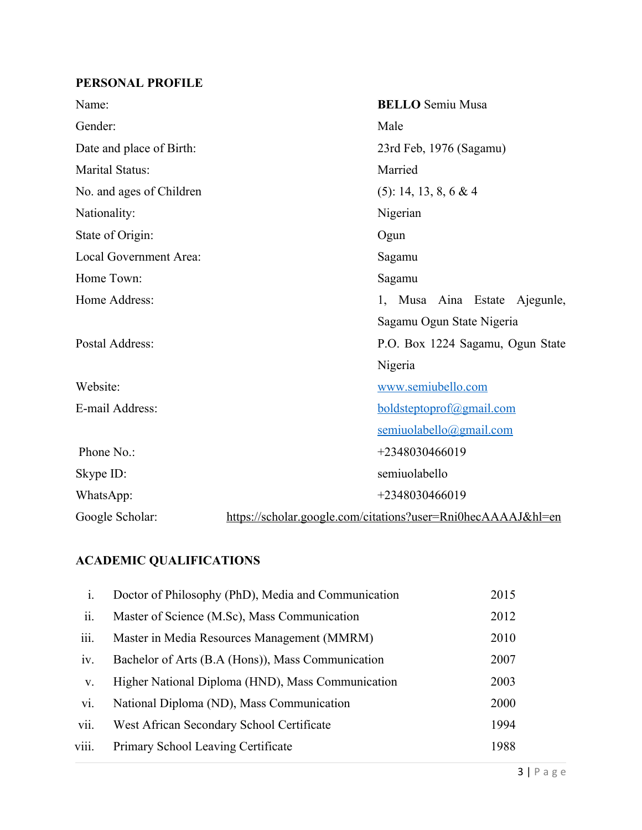# **PERSONAL PROFILE**

| Name:                    | <b>BELLO</b> Semiu Musa                                      |  |  |
|--------------------------|--------------------------------------------------------------|--|--|
| Gender:                  | Male                                                         |  |  |
| Date and place of Birth: | 23rd Feb, 1976 (Sagamu)                                      |  |  |
| <b>Marital Status:</b>   | Married                                                      |  |  |
| No. and ages of Children | (5): 14, 13, 8, 6 & 4                                        |  |  |
| Nationality:             | Nigerian                                                     |  |  |
| State of Origin:<br>Ogun |                                                              |  |  |
| Local Government Area:   | Sagamu                                                       |  |  |
| Home Town:               | Sagamu                                                       |  |  |
| Home Address:            | 1, Musa Aina Estate Ajegunle,                                |  |  |
|                          | Sagamu Ogun State Nigeria                                    |  |  |
| Postal Address:          | P.O. Box 1224 Sagamu, Ogun State                             |  |  |
|                          | Nigeria                                                      |  |  |
| Website:                 | www.semiubello.com                                           |  |  |
| E-mail Address:          | boldsteptoprof@gmail.com                                     |  |  |
|                          | semiuolabello@gmail.com                                      |  |  |
| Phone No.:               | +2348030466019                                               |  |  |
| Skype ID:                | semiuolabello                                                |  |  |
| WhatsApp:                | +2348030466019                                               |  |  |
| Google Scholar:          | https://scholar.google.com/citations?user=Rni0hecAAAAJ&hl=en |  |  |

# **ACADEMIC QUALIFICATIONS**

| i.    | Doctor of Philosophy (PhD), Media and Communication | 2015 |
|-------|-----------------------------------------------------|------|
| ii.   | Master of Science (M.Sc), Mass Communication        | 2012 |
| iii.  | Master in Media Resources Management (MMRM)         | 2010 |
| iv.   | Bachelor of Arts (B.A (Hons)), Mass Communication   | 2007 |
| V.    | Higher National Diploma (HND), Mass Communication   | 2003 |
| vi.   | National Diploma (ND), Mass Communication           | 2000 |
| vii.  | West African Secondary School Certificate           | 1994 |
| viii. | Primary School Leaving Certificate                  | 1988 |
|       |                                                     |      |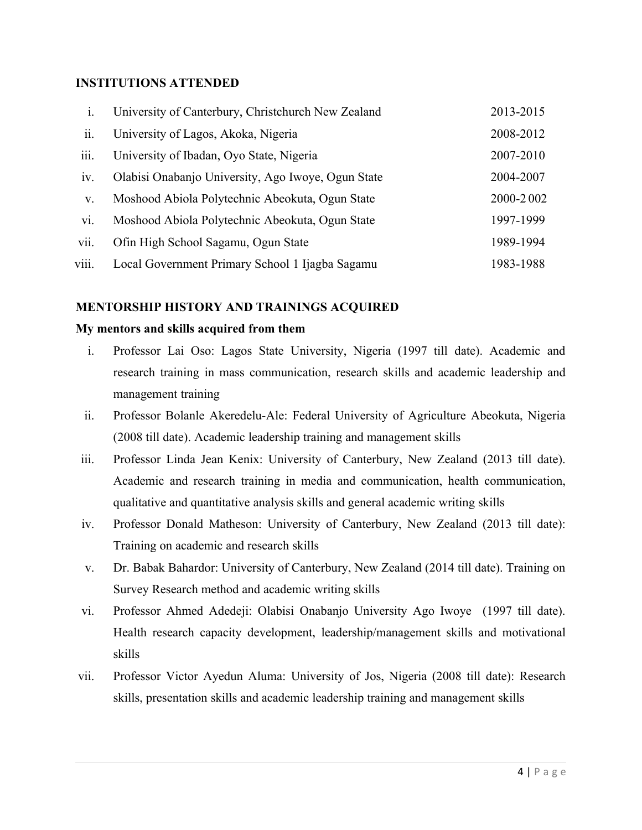### **INSTITUTIONS ATTENDED**

| $\mathbf{i}$ . | University of Canterbury, Christchurch New Zealand | 2013-2015 |
|----------------|----------------------------------------------------|-----------|
| ii.            | University of Lagos, Akoka, Nigeria                | 2008-2012 |
| iii.           | University of Ibadan, Oyo State, Nigeria           | 2007-2010 |
| 1V.            | Olabisi Onabanjo University, Ago Iwoye, Ogun State | 2004-2007 |
| V.             | Moshood Abiola Polytechnic Abeokuta, Ogun State    | 2000-2002 |
| vi.            | Moshood Abiola Polytechnic Abeokuta, Ogun State    | 1997-1999 |
| vii.           | Ofin High School Sagamu, Ogun State                | 1989-1994 |
| viii.          | Local Government Primary School 1 Ijagba Sagamu    | 1983-1988 |

#### **MENTORSHIP HISTORY AND TRAININGS ACQUIRED**

#### **My mentors and skills acquired from them**

- i. Professor Lai Oso: Lagos State University, Nigeria (1997 till date). Academic and research training in mass communication, research skills and academic leadership and management training
- ii. Professor Bolanle Akeredelu-Ale: Federal University of Agriculture Abeokuta, Nigeria (2008 till date). Academic leadership training and management skills
- iii. Professor Linda Jean Kenix: University of Canterbury, New Zealand (2013 till date). Academic and research training in media and communication, health communication, qualitative and quantitative analysis skills and general academic writing skills
- iv. Professor Donald Matheson: University of Canterbury, New Zealand (2013 till date): Training on academic and research skills
- v. Dr. Babak Bahardor: University of Canterbury, New Zealand (2014 till date). Training on Survey Research method and academic writing skills
- vi. Professor Ahmed Adedeji: Olabisi Onabanjo University Ago Iwoye (1997 till date). Health research capacity development, leadership/management skills and motivational skills
- vii. Professor Victor Ayedun Aluma: University of Jos, Nigeria (2008 till date): Research skills, presentation skills and academic leadership training and management skills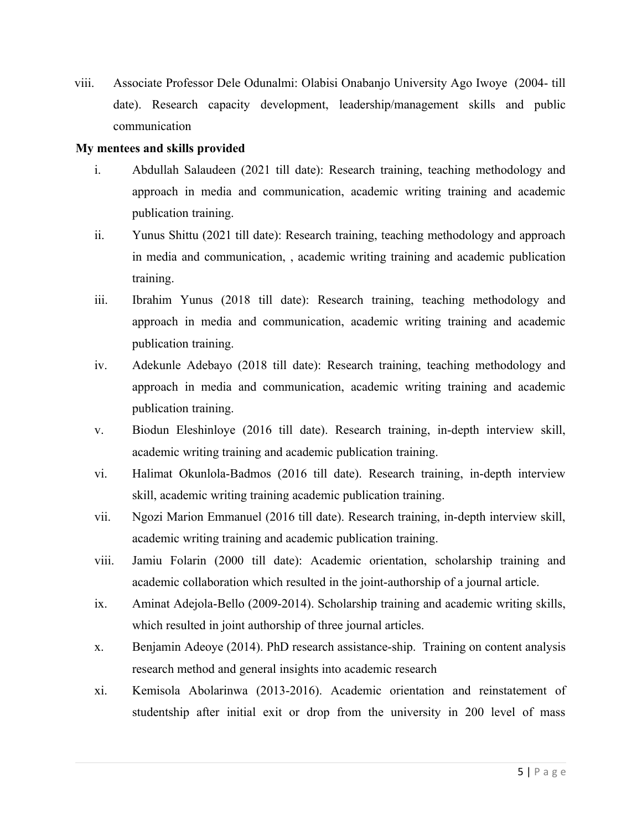viii. Associate Professor Dele Odunalmi: Olabisi Onabanjo University Ago Iwoye (2004- till date). Research capacity development, leadership/management skills and public communication

#### **My mentees and skills provided**

- i. Abdullah Salaudeen (2021 till date): Research training, teaching methodology and approach in media and communication, academic writing training and academic publication training.
- ii. Yunus Shittu (2021 till date): Research training, teaching methodology and approach in media and communication, , academic writing training and academic publication training.
- iii. Ibrahim Yunus (2018 till date): Research training, teaching methodology and approach in media and communication, academic writing training and academic publication training.
- iv. Adekunle Adebayo (2018 till date): Research training, teaching methodology and approach in media and communication, academic writing training and academic publication training.
- v. Biodun Eleshinloye (2016 till date). Research training, in-depth interview skill, academic writing training and academic publication training.
- vi. Halimat Okunlola-Badmos (2016 till date). Research training, in-depth interview skill, academic writing training academic publication training.
- vii. Ngozi Marion Emmanuel (2016 till date). Research training, in-depth interview skill, academic writing training and academic publication training.
- viii. Jamiu Folarin (2000 till date): Academic orientation, scholarship training and academic collaboration which resulted in the joint-authorship of a journal article.
- ix. Aminat Adejola-Bello (2009-2014). Scholarship training and academic writing skills, which resulted in joint authorship of three journal articles.
- x. Benjamin Adeoye (2014). PhD research assistance-ship. Training on content analysis research method and general insights into academic research
- xi. Kemisola Abolarinwa (2013-2016). Academic orientation and reinstatement of studentship after initial exit or drop from the university in 200 level of mass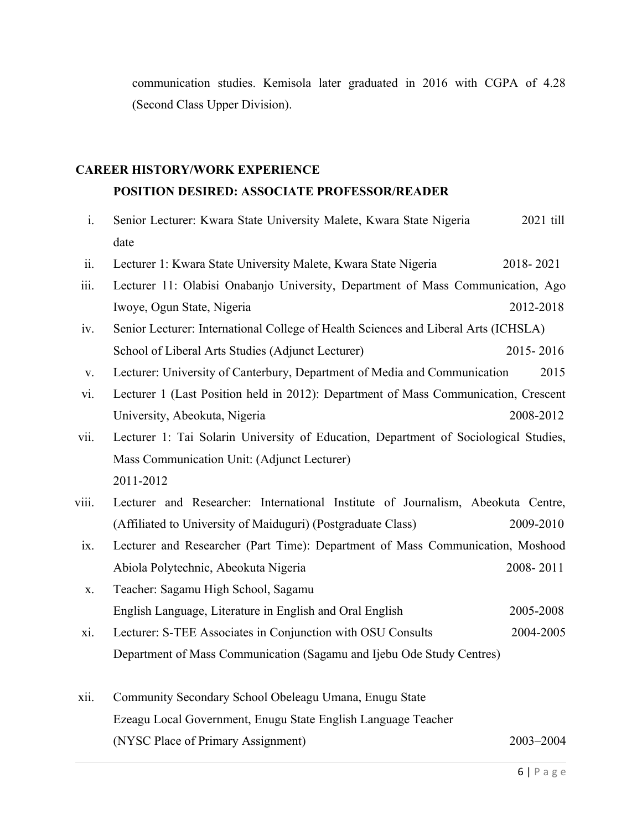communication studies. Kemisola later graduated in 2016 with CGPA of 4.28 (Second Class Upper Division).

# **CAREER HISTORY/WORK EXPERIENCE**

### **POSITION DESIRED: ASSOCIATE PROFESSOR/READER**

| $\mathbf{i}$ . | Senior Lecturer: Kwara State University Malete, Kwara State Nigeria                  | 2021 till |  |
|----------------|--------------------------------------------------------------------------------------|-----------|--|
|                | date                                                                                 |           |  |
| ii.            | Lecturer 1: Kwara State University Malete, Kwara State Nigeria                       | 2018-2021 |  |
| iii.           | Lecturer 11: Olabisi Onabanjo University, Department of Mass Communication, Ago      |           |  |
|                | Iwoye, Ogun State, Nigeria                                                           | 2012-2018 |  |
| iv.            | Senior Lecturer: International College of Health Sciences and Liberal Arts (ICHSLA)  |           |  |
|                | School of Liberal Arts Studies (Adjunct Lecturer)                                    | 2015-2016 |  |
| V.             | Lecturer: University of Canterbury, Department of Media and Communication            | 2015      |  |
| vi.            | Lecturer 1 (Last Position held in 2012): Department of Mass Communication, Crescent  |           |  |
|                | University, Abeokuta, Nigeria                                                        | 2008-2012 |  |
| vii.           | Lecturer 1: Tai Solarin University of Education, Department of Sociological Studies, |           |  |
|                | Mass Communication Unit: (Adjunct Lecturer)                                          |           |  |
|                | 2011-2012                                                                            |           |  |
| viii.          | Lecturer and Researcher: International Institute of Journalism, Abeokuta Centre,     |           |  |
|                | (Affiliated to University of Maiduguri) (Postgraduate Class)                         | 2009-2010 |  |
| ix.            | Lecturer and Researcher (Part Time): Department of Mass Communication, Moshood       |           |  |
|                | Abiola Polytechnic, Abeokuta Nigeria                                                 | 2008-2011 |  |
| X.             | Teacher: Sagamu High School, Sagamu                                                  |           |  |
|                | English Language, Literature in English and Oral English                             | 2005-2008 |  |
| xi.            | Lecturer: S-TEE Associates in Conjunction with OSU Consults                          | 2004-2005 |  |
|                | Department of Mass Communication (Sagamu and Ijebu Ode Study Centres)                |           |  |
| xii.           | Community Secondary School Obeleagu Umana, Enugu State                               |           |  |
|                | Ezeagu Local Government, Enugu State English Language Teacher                        |           |  |

(NYSC Place of Primary Assignment) 2003–2004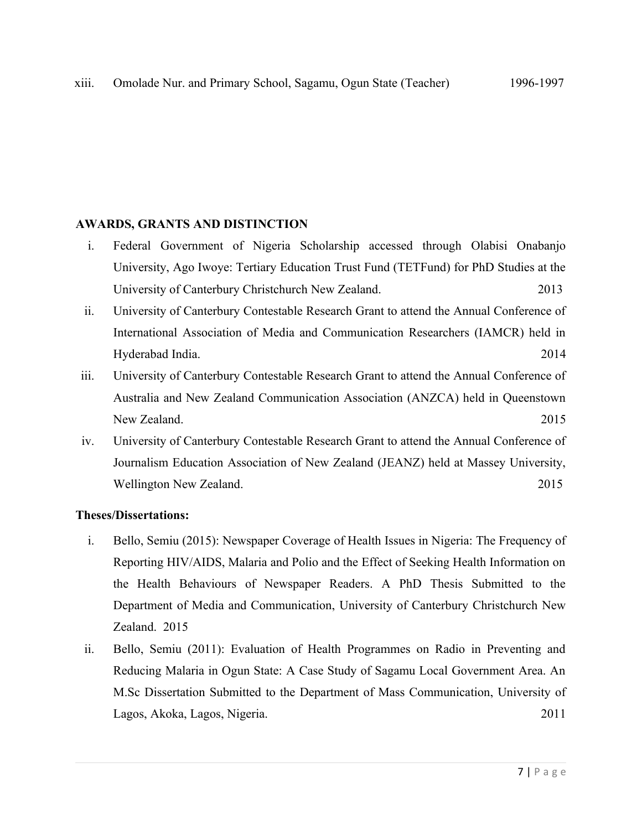#### **AWARDS, GRANTS AND DISTINCTION**

- i. Federal Government of Nigeria Scholarship accessed through Olabisi Onabanjo University, Ago Iwoye: Tertiary Education Trust Fund (TETFund) for PhD Studies at the University of Canterbury Christchurch New Zealand. 2013
- ii. University of Canterbury Contestable Research Grant to attend the Annual Conference of International Association of Media and Communication Researchers (IAMCR) held in Hyderabad India. 2014
- iii. University of Canterbury Contestable Research Grant to attend the Annual Conference of Australia and New Zealand Communication Association (ANZCA) held in Queenstown New Zealand. 2015
- iv. University of Canterbury Contestable Research Grant to attend the Annual Conference of Journalism Education Association of New Zealand (JEANZ) held at Massey University, Wellington New Zealand. 2015

#### **Theses/Dissertations:**

- i. Bello, Semiu (2015): Newspaper Coverage of Health Issues in Nigeria: The Frequency of Reporting HIV/AIDS, Malaria and Polio and the Effect of Seeking Health Information on the Health Behaviours of Newspaper Readers. A PhD Thesis Submitted to the Department of Media and Communication, University of Canterbury Christchurch New Zealand. 2015
- ii. Bello, Semiu (2011): Evaluation of Health Programmes on Radio in Preventing and Reducing Malaria in Ogun State: A Case Study of Sagamu Local Government Area. An M.Sc Dissertation Submitted to the Department of Mass Communication, University of Lagos, Akoka, Lagos, Nigeria. 2011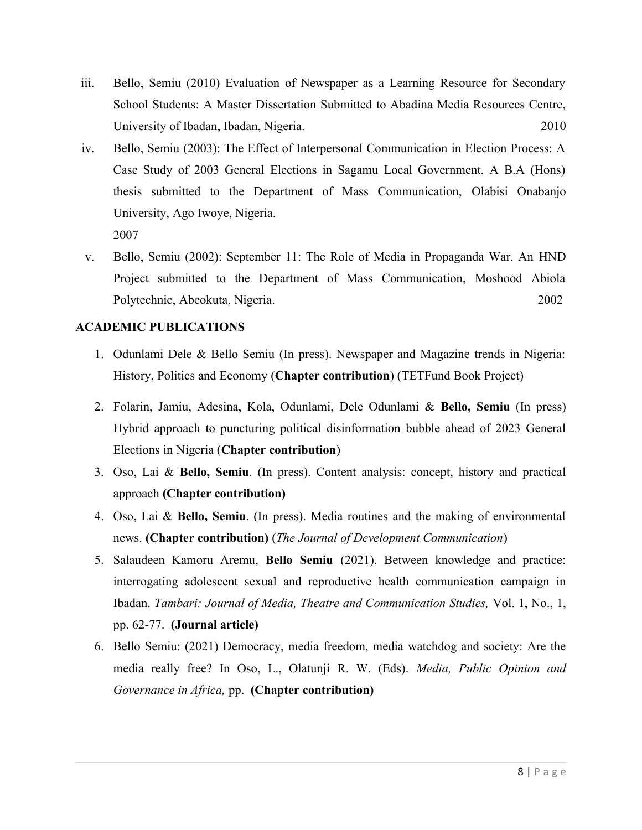- iii. Bello, Semiu (2010) Evaluation of Newspaper as a Learning Resource for Secondary School Students: A Master Dissertation Submitted to Abadina Media Resources Centre, University of Ibadan, Ibadan, Nigeria. 2010
- iv. Bello, Semiu (2003): The Effect of Interpersonal Communication in Election Process: A Case Study of 2003 General Elections in Sagamu Local Government. A B.A (Hons) thesis submitted to the Department of Mass Communication, Olabisi Onabanjo University, Ago Iwoye, Nigeria. 2007
- v. Bello, Semiu (2002): September 11: The Role of Media in Propaganda War. An HND Project submitted to the Department of Mass Communication, Moshood Abiola Polytechnic, Abeokuta, Nigeria. 2002

#### **ACADEMIC PUBLICATIONS**

- 1. Odunlami Dele & Bello Semiu (In press). Newspaper and Magazine trends in Nigeria: History, Politics and Economy (**Chapter contribution**) (TETFund Book Project)
- 2. Folarin, Jamiu, Adesina, Kola, Odunlami, Dele Odunlami & **Bello, Semiu** (In press) Hybrid approach to puncturing political disinformation bubble ahead of 2023 General Elections in Nigeria (**Chapter contribution**)
- 3. Oso, Lai & **Bello, Semiu**. (In press). Content analysis: concept, history and practical approach **(Chapter contribution)**
- 4. Oso, Lai & **Bello, Semiu**. (In press). Media routines and the making of environmental news. **(Chapter contribution)** (*The Journal of Development Communication*)
- 5. Salaudeen Kamoru Aremu, **Bello Semiu** (2021). Between knowledge and practice: interrogating adolescent sexual and reproductive health communication campaign in Ibadan. *Tambari: Journal of Media, Theatre and Communication Studies,* Vol. 1, No., 1, pp. 62-77.**(Journal article)**
- 6. Bello Semiu: (2021) Democracy, media freedom, media watchdog and society: Are the media really free? In Oso, L., Olatunji R. W. (Eds). *Media, Public Opinion and Governance in Africa,* pp. **(Chapter contribution)**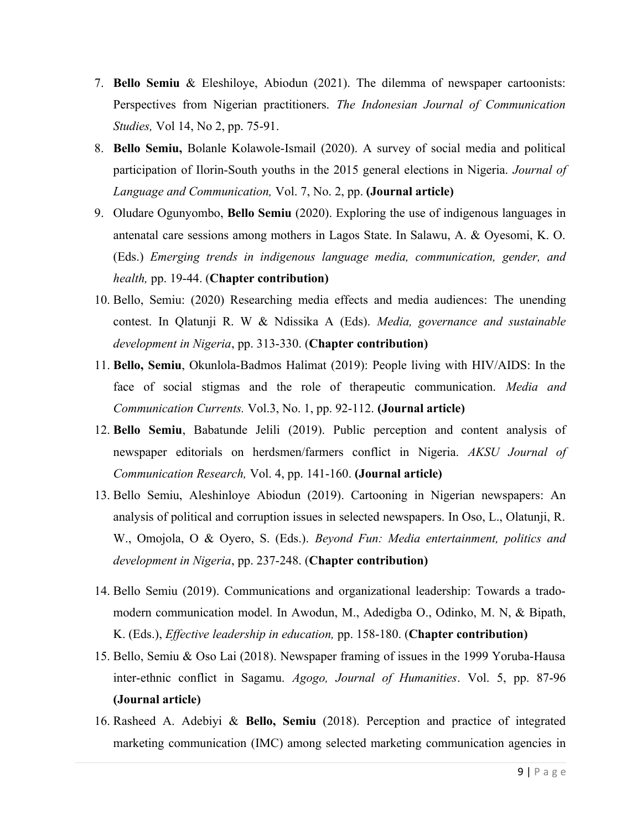- 7. **Bello Semiu** & Eleshiloye, Abiodun (2021). The dilemma of newspaper cartoonists: Perspectives from Nigerian practitioners. *The Indonesian Journal of Communication Studies,* Vol 14, No 2, pp. 75-91.
- 8. **Bello Semiu,** Bolanle Kolawole-Ismail (2020). A survey of social media and political participation of Ilorin-South youths in the 2015 general elections in Nigeria. *Journal of Language and Communication,* Vol. 7, No. 2, pp. **(Journal article)**
- 9. Oludare Ogunyombo, **Bello Semiu** (2020). Exploring the use of indigenous languages in antenatal care sessions among mothers in Lagos State. In Salawu, A. & Oyesomi, K. O. (Eds.) *Emerging trends in indigenous language media, communication, gender, and health,* pp. 19-44. (**Chapter contribution)**
- 10. Bello, Semiu: (2020) Researching media effects and media audiences: The unending contest. In Qlatunji R. W & Ndissika A (Eds). *Media, governance and sustainable development in Nigeria*, pp. 313-330. (**Chapter contribution)**
- 11. **Bello, Semiu**, Okunlola-Badmos Halimat (2019): People living with HIV/AIDS: In the face of social stigmas and the role of therapeutic communication. *Media and Communication Currents.* Vol.3, No. 1, pp. 92-112. **(Journal article)**
- 12. **Bello Semiu**, Babatunde Jelili (2019). Public perception and content analysis of newspaper editorials on herdsmen/farmers conflict in Nigeria. *AKSU Journal of Communication Research,* Vol. 4, pp. 141-160. **(Journal article)**
- 13. Bello Semiu, Aleshinloye Abiodun (2019). Cartooning in Nigerian newspapers: An analysis of political and corruption issues in selected newspapers. In Oso, L., Olatunji, R. W., Omojola, O & Oyero, S. (Eds.). *Beyond Fun: Media entertainment, politics and development in Nigeria*, pp. 237-248. (**Chapter contribution)**
- 14. Bello Semiu (2019). Communications and organizational leadership: Towards a tradomodern communication model. In Awodun, M., Adedigba O., Odinko, M. N, & Bipath, K. (Eds.), *Effective leadership in education,* pp. 158-180. (**Chapter contribution)**
- 15. Bello, Semiu & Oso Lai (2018). Newspaper framing of issues in the 1999 Yoruba-Hausa inter-ethnic conflict in Sagamu. *Agogo, Journal of Humanities*. Vol. 5, pp. 87-96 **(Journal article)**
- 16. Rasheed A. Adebiyi & **Bello, Semiu** (2018). Perception and practice of integrated marketing communication (IMC) among selected marketing communication agencies in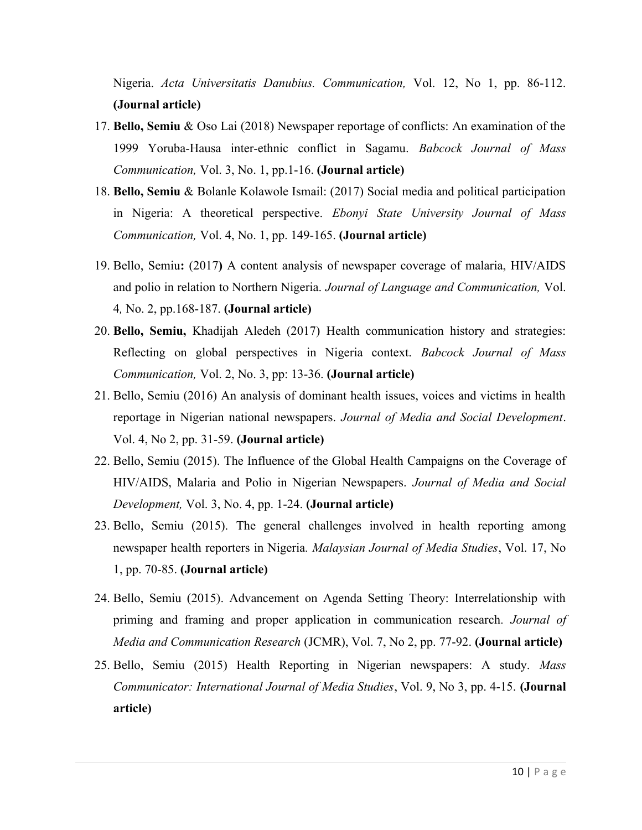Nigeria. *Acta Universitatis Danubius. Communication,* Vol. 12, No 1, pp. 86-112. **(Journal article)**

- 17. **Bello, Semiu** & Oso Lai (2018) Newspaper reportage of conflicts: An examination of the 1999 Yoruba-Hausa inter-ethnic conflict in Sagamu. *Babcock Journal of Mass Communication,* Vol. 3, No. 1, pp.1-16. **(Journal article)**
- 18. **Bello, Semiu** & Bolanle Kolawole Ismail: (2017) Social media and political participation in Nigeria: A theoretical perspective. *Ebonyi State University Journal of Mass Communication,* Vol. 4, No. 1, pp. 149-165. **(Journal article)**
- 19. Bello, Semiu**:** (2017**)** A content analysis of newspaper coverage of malaria, HIV/AIDS and polio in relation to Northern Nigeria. *Journal of Language and Communication,* Vol. 4*,* No. 2, pp.168-187. **(Journal article)**
- 20. **Bello, Semiu,** Khadijah Aledeh (2017) Health communication history and strategies: Reflecting on global perspectives in Nigeria context. *Babcock Journal of Mass Communication,* Vol. 2, No. 3, pp: 13-36. **(Journal article)**
- 21. Bello, Semiu (2016) An analysis of dominant health issues, voices and victims in health reportage in Nigerian national newspapers. *Journal of Media and Social Development*. Vol. 4, No 2, pp. 31-59. **(Journal article)**
- 22. Bello, Semiu (2015). The Influence of the Global Health Campaigns on the Coverage of HIV/AIDS, Malaria and Polio in Nigerian Newspapers. *Journal of Media and Social Development,* Vol. 3, No. 4, pp. 1-24. **(Journal article)**
- 23. Bello, Semiu (2015). The general challenges involved in health reporting among newspaper health reporters in Nigeria*. Malaysian Journal of Media Studies*, Vol. 17, No 1, pp. 70-85. **(Journal article)**
- 24. Bello, Semiu (2015). Advancement on Agenda Setting Theory: Interrelationship with priming and framing and proper application in communication research*. Journal of Media and Communication Research* (JCMR), Vol. 7, No 2, pp. 77-92. **(Journal article)**
- 25. Bello, Semiu (2015) Health Reporting in Nigerian newspapers: A study. *Mass Communicator: International Journal of Media Studies*, Vol. 9, No 3, pp. 4-15. **(Journal article)**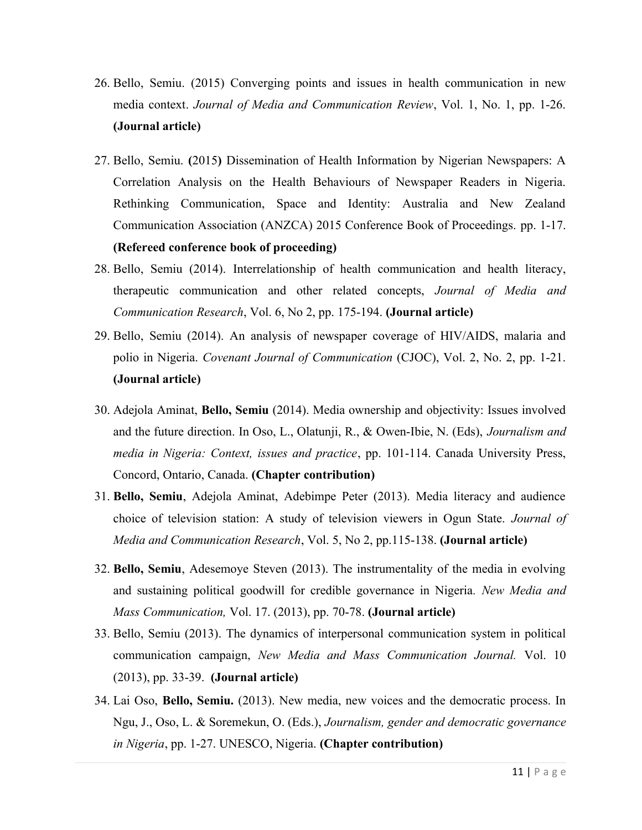- 26. Bello, Semiu. (2015) Converging points and issues in health communication in new media context. *Journal of Media and Communication Review*, Vol. 1, No. 1, pp. 1-26. **(Journal article)**
- 27. Bello, Semiu. **(**2015**)** Dissemination of Health Information by Nigerian Newspapers: A Correlation Analysis on the Health Behaviours of Newspaper Readers in Nigeria. Rethinking Communication, Space and Identity: Australia and New Zealand Communication Association (ANZCA) 2015 Conference Book of Proceedings. pp. 1-17. **(Refereed conference book of proceeding)**
- 28. Bello, Semiu (2014). Interrelationship of health communication and health literacy, therapeutic communication and other related concepts, *Journal of Media and Communication Research*, Vol. 6, No 2, pp. 175-194. **(Journal article)**
- 29. Bello, Semiu (2014). An analysis of newspaper coverage of HIV/AIDS, malaria and polio in Nigeria. *Covenant Journal of Communication* (CJOC), Vol. 2, No. 2, pp. 1-21. **(Journal article)**
- 30. Adejola Aminat, **Bello, Semiu** (2014). Media ownership and objectivity: Issues involved and the future direction. In Oso, L., Olatunji, R., & Owen-Ibie, N. (Eds), *Journalism and media in Nigeria: Context, issues and practice*, pp. 101-114. Canada University Press, Concord, Ontario, Canada. **(Chapter contribution)**
- 31. **Bello, Semiu**, Adejola Aminat, Adebimpe Peter (2013). Media literacy and audience choice of television station: A study of television viewers in Ogun State. *Journal of Media and Communication Research*, Vol. 5, No 2, pp.115-138. **(Journal article)**
- 32. **Bello, Semiu**, Adesemoye Steven (2013). The instrumentality of the media in evolving and sustaining political goodwill for credible governance in Nigeria*. New Media and Mass Communication,* Vol. 17. (2013), pp. 70-78. **(Journal article)**
- 33. Bello, Semiu (2013). The dynamics of interpersonal communication system in political communication campaign, *New Media and Mass Communication Journal.* Vol. 10 (2013), pp. 33-39. **(Journal article)**
- 34. Lai Oso, **Bello, Semiu.** (2013). New media, new voices and the democratic process. In Ngu, J., Oso, L. & Soremekun, O. (Eds.), *Journalism, gender and democratic governance in Nigeria*, pp. 1-27. UNESCO, Nigeria. **(Chapter contribution)**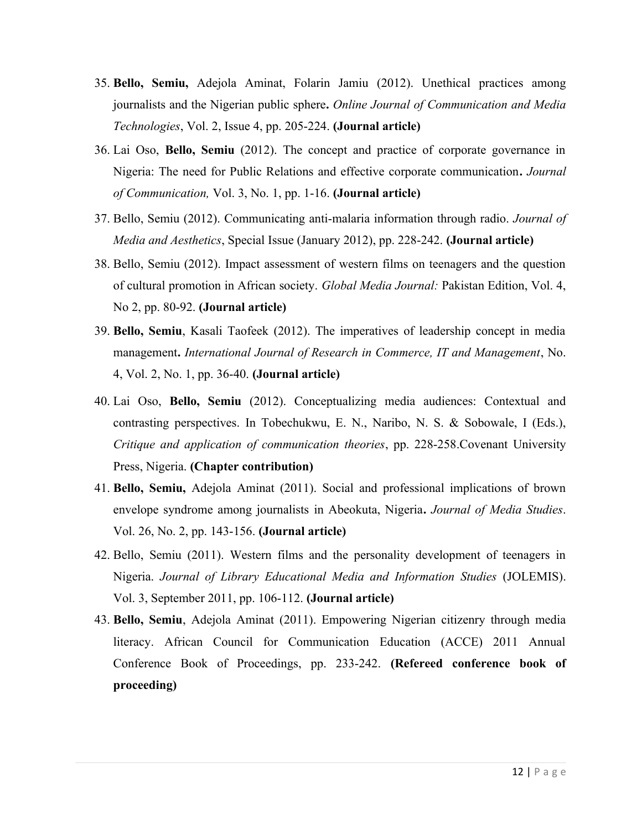- 35. **Bello, Semiu,** Adejola Aminat, Folarin Jamiu (2012). Unethical practices among journalists and the Nigerian public sphere**.** *Online Journal of Communication and Media Technologies*, Vol. 2, Issue 4, pp. 205-224. **(Journal article)**
- 36. Lai Oso, **Bello, Semiu** (2012). The concept and practice of corporate governance in Nigeria: The need for Public Relations and effective corporate communication**.** *Journal of Communication,* Vol. 3, No. 1, pp. 1-16. **(Journal article)**
- 37. Bello, Semiu (2012). Communicating anti-malaria information through radio. *Journal of Media and Aesthetics*, Special Issue (January 2012), pp. 228-242. **(Journal article)**
- 38. Bello, Semiu (2012). Impact assessment of western films on teenagers and the question of cultural promotion in African society. *Global Media Journal:* Pakistan Edition, Vol. 4, No 2, pp. 80-92. **(Journal article)**
- 39. **Bello, Semiu**, Kasali Taofeek (2012). The imperatives of leadership concept in media management**.** *International Journal of Research in Commerce, IT and Management*, No. 4, Vol. 2, No. 1, pp. 36-40. **(Journal article)**
- 40. Lai Oso, **Bello, Semiu** (2012). Conceptualizing media audiences: Contextual and contrasting perspectives. In Tobechukwu, E. N., Naribo, N. S. & Sobowale, I (Eds.), *Critique and application of communication theories*, pp. 228-258.Covenant University Press, Nigeria. **(Chapter contribution)**
- 41. **Bello, Semiu,** Adejola Aminat (2011). Social and professional implications of brown envelope syndrome among journalists in Abeokuta, Nigeria**.** *Journal of Media Studies*. Vol. 26, No. 2, pp. 143-156. **(Journal article)**
- 42. Bello, Semiu (2011). Western films and the personality development of teenagers in Nigeria. *Journal of Library Educational Media and Information Studies* (JOLEMIS). Vol. 3, September 2011, pp. 106-112. **(Journal article)**
- 43. **Bello, Semiu**, Adejola Aminat (2011). Empowering Nigerian citizenry through media literacy. African Council for Communication Education (ACCE) 2011 Annual Conference Book of Proceedings, pp. 233-242. **(Refereed conference book of proceeding)**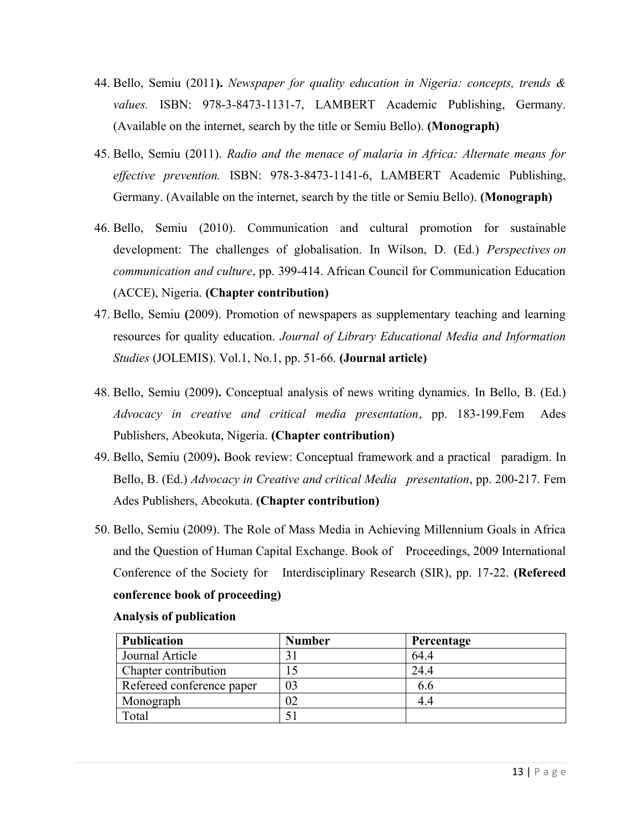- 44. Bello, Semiu (2011**).** *Newspaper for quality education in Nigeria: concepts, trends & values.* ISBN: 978-3-8473-1131-7, LAMBERT Academic Publishing, Germany. (Available on the internet, search by the title or Semiu Bello). **(Monograph)**
- 45. Bello, Semiu (2011). *Radio and the menace of malaria in Africa: Alternate means for effective prevention.* ISBN: 978-3-8473-1141-6, LAMBERT Academic Publishing, Germany. (Available on the internet, search by the title or Semiu Bello). **(Monograph)**
- 46. Bello, Semiu (2010). Communication and cultural promotion for sustainable development: The challenges of globalisation. In Wilson, D. (Ed.) *Perspectives on communication and culture*, pp. 399-414. African Council for Communication Education (ACCE), Nigeria. **(Chapter contribution)**
- 47. Bello, Semiu **(**2009). Promotion of newspapers as supplementary teaching and learning resources for quality education. *Journal of Library Educational Media and Information Studies* (JOLEMIS). Vol.1, No.1, pp. 51-66. **(Journal article)**
- 48. Bello, Semiu (2009)**.** Conceptual analysis of news writing dynamics. In Bello, B. (Ed.) *Advocacy in creative and critical media presentation*, pp. 183-199.Fem Ades Publishers, Abeokuta, Nigeria. **(Chapter contribution)**
- 49. Bello, Semiu (2009)**.** Book review: Conceptual framework and a practical paradigm. In Bello, B. (Ed.) *Advocacy in Creative and critical Media presentation*, pp. 200-217. Fem Ades Publishers, Abeokuta. **(Chapter contribution)**
- 50. Bello, Semiu (2009). The Role of Mass Media in Achieving Millennium Goals in Africa and the Question of Human Capital Exchange. Book of Proceedings, 2009 International Conference of the Society for Interdisciplinary Research (SIR), pp. 17-22. **(Refereed conference book of proceeding)**

| <b>Publication</b>        | <b>Number</b> | Percentage |
|---------------------------|---------------|------------|
| Journal Article           | 31            | 64.4       |
| Chapter contribution      |               | 24.4       |
| Refereed conference paper | 03            | 6.6        |
| Monograph                 | 02            | 4.4        |
| Total                     |               |            |

#### **Analysis of publication**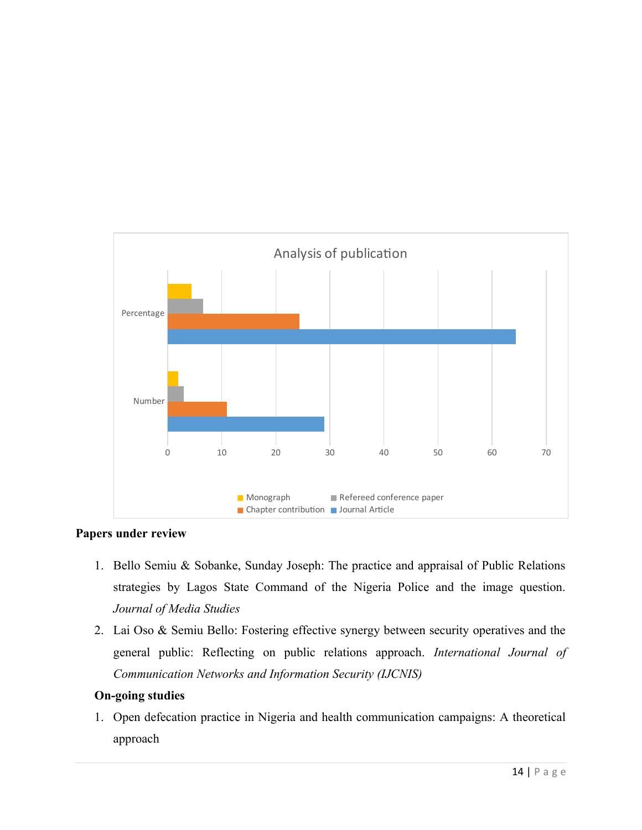

#### **Papers under review**

- 1. Bello Semiu & Sobanke, Sunday Joseph: The practice and appraisal of Public Relations strategies by Lagos State Command of the Nigeria Police and the image question. *Journal of Media Studies*
- 2. Lai Oso & Semiu Bello: Fostering effective synergy between security operatives and the general public: Reflecting on public relations approach. *International Journal of Communication Networks and Information Security (IJCNIS)*

# **On-going studies**

1. Open defecation practice in Nigeria and health communication campaigns: A theoretical approach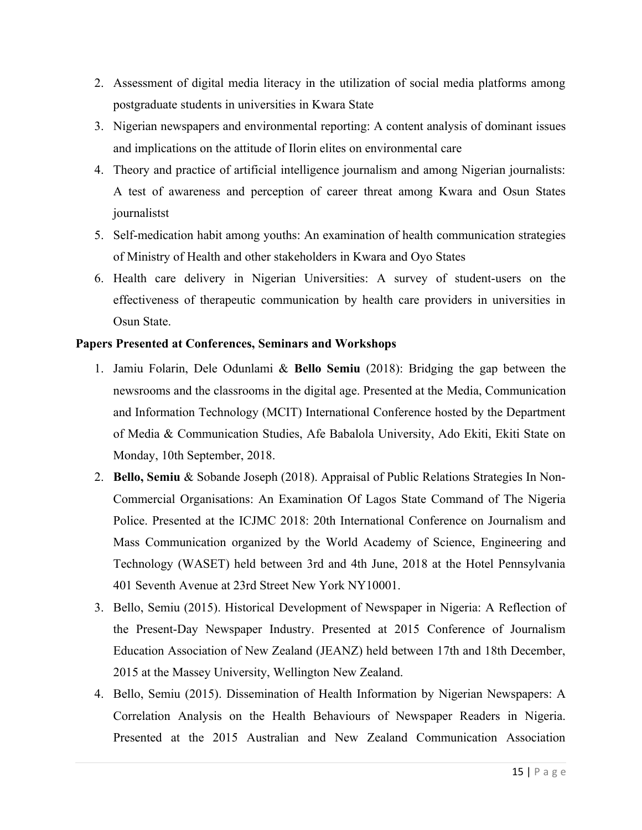- 2. Assessment of digital media literacy in the utilization of social media platforms among postgraduate students in universities in Kwara State
- 3. Nigerian newspapers and environmental reporting: A content analysis of dominant issues and implications on the attitude of Ilorin elites on environmental care
- 4. Theory and practice of artificial intelligence journalism and among Nigerian journalists: A test of awareness and perception of career threat among Kwara and Osun States journalistst
- 5. Self-medication habit among youths: An examination of health communication strategies of Ministry of Health and other stakeholders in Kwara and Oyo States
- 6. Health care delivery in Nigerian Universities: A survey of student-users on the effectiveness of therapeutic communication by health care providers in universities in Osun State.

#### **Papers Presented at Conferences, Seminars and Workshops**

- 1. Jamiu Folarin, Dele Odunlami & **Bello Semiu** (2018): Bridging the gap between the newsrooms and the classrooms in the digital age. Presented at the Media, Communication and Information Technology (MCIT) International Conference hosted by the Department of Media & Communication Studies, Afe Babalola University, Ado Ekiti, Ekiti State on Monday, 10th September, 2018.
- 2. **Bello, Semiu** & Sobande Joseph (2018). Appraisal of Public Relations Strategies In Non-Commercial Organisations: An Examination Of Lagos State Command of The Nigeria Police. Presented at the ICJMC 2018: 20th International Conference on Journalism and Mass Communication organized by the World Academy of Science, Engineering and Technology (WASET) held between 3rd and 4th June, 2018 at the Hotel Pennsylvania 401 Seventh Avenue at 23rd Street New York NY10001.
- 3. Bello, Semiu (2015). Historical Development of Newspaper in Nigeria: A Reflection of the Present-Day Newspaper Industry. Presented at 2015 Conference of Journalism Education Association of New Zealand (JEANZ) held between 17th and 18th December, 2015 at the Massey University, Wellington New Zealand.
- 4. Bello, Semiu (2015). Dissemination of Health Information by Nigerian Newspapers: A Correlation Analysis on the Health Behaviours of Newspaper Readers in Nigeria. Presented at the 2015 Australian and New Zealand Communication Association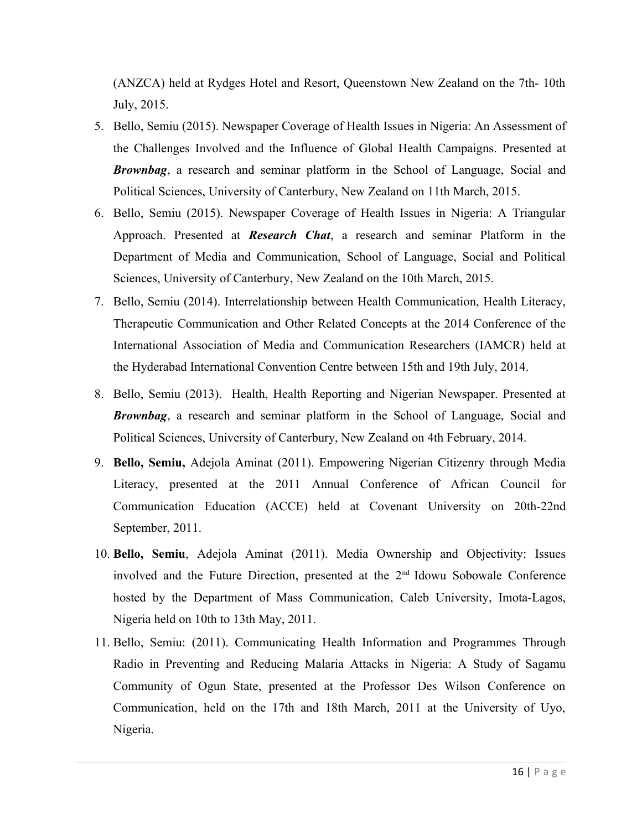(ANZCA) held at Rydges Hotel and Resort, Queenstown New Zealand on the 7th- 10th July, 2015.

- 5. Bello, Semiu (2015). Newspaper Coverage of Health Issues in Nigeria: An Assessment of the Challenges Involved and the Influence of Global Health Campaigns. Presented at *Brownbag*, a research and seminar platform in the School of Language, Social and Political Sciences, University of Canterbury, New Zealand on 11th March, 2015.
- 6. Bello, Semiu (2015). Newspaper Coverage of Health Issues in Nigeria: A Triangular Approach. Presented at *Research Chat*, a research and seminar Platform in the Department of Media and Communication, School of Language, Social and Political Sciences, University of Canterbury, New Zealand on the 10th March, 2015.
- 7. Bello, Semiu (2014). Interrelationship between Health Communication, Health Literacy, Therapeutic Communication and Other Related Concepts at the 2014 Conference of the International Association of Media and Communication Researchers (IAMCR) held at the Hyderabad International Convention Centre between 15th and 19th July, 2014.
- 8. Bello, Semiu (2013). Health, Health Reporting and Nigerian Newspaper. Presented at *Brownbag*, a research and seminar platform in the School of Language, Social and Political Sciences, University of Canterbury, New Zealand on 4th February, 2014.
- 9. **Bello, Semiu,** Adejola Aminat (2011). Empowering Nigerian Citizenry through Media Literacy, presented at the 2011 Annual Conference of African Council for Communication Education (ACCE) held at Covenant University on 20th-22nd September, 2011.
- 10. **Bello, Semiu**, Adejola Aminat (2011). Media Ownership and Objectivity: Issues involved and the Future Direction, presented at the  $2<sup>nd</sup>$  Idowu Sobowale Conference hosted by the Department of Mass Communication, Caleb University, Imota-Lagos, Nigeria held on 10th to 13th May, 2011.
- 11. Bello, Semiu: (2011). Communicating Health Information and Programmes Through Radio in Preventing and Reducing Malaria Attacks in Nigeria: A Study of Sagamu Community of Ogun State, presented at the Professor Des Wilson Conference on Communication, held on the 17th and 18th March, 2011 at the University of Uyo, Nigeria.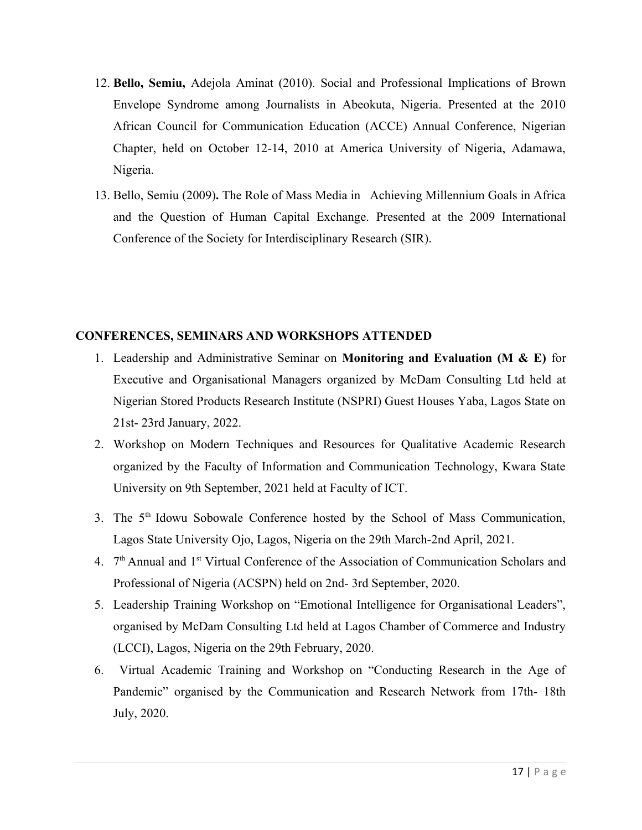- 12. **Bello, Semiu,** Adejola Aminat (2010). Social and Professional Implications of Brown Envelope Syndrome among Journalists in Abeokuta, Nigeria. Presented at the 2010 African Council for Communication Education (ACCE) Annual Conference, Nigerian Chapter, held on October 12-14, 2010 at America University of Nigeria, Adamawa, Nigeria.
- 13. Bello, Semiu (2009)**.** The Role of Mass Media in Achieving Millennium Goals in Africa and the Question of Human Capital Exchange. Presented at the 2009 International Conference of the Society for Interdisciplinary Research (SIR).

#### **CONFERENCES, SEMINARS AND WORKSHOPS ATTENDED**

- 1. Leadership and Administrative Seminar on **Monitoring and Evaluation (M & E)** for Executive and Organisational Managers organized by McDam Consulting Ltd held at Nigerian Stored Products Research Institute (NSPRI) Guest Houses Yaba, Lagos State on 21st- 23rd January, 2022.
- 2. Workshop on Modern Techniques and Resources for Qualitative Academic Research organized by the Faculty of Information and Communication Technology, Kwara State University on 9th September, 2021 held at Faculty of ICT.
- 3. The 5<sup>th</sup> Idowu Sobowale Conference hosted by the School of Mass Communication, Lagos State University Ojo, Lagos, Nigeria on the 29th March-2nd April, 2021.
- 4. 7<sup>th</sup> Annual and 1<sup>st</sup> Virtual Conference of the Association of Communication Scholars and Professional of Nigeria (ACSPN) held on 2nd- 3rd September, 2020.
- 5. Leadership Training Workshop on "Emotional Intelligence for Organisational Leaders", organised by McDam Consulting Ltd held at Lagos Chamber of Commerce and Industry (LCCI), Lagos, Nigeria on the 29th February, 2020.
- 6. Virtual Academic Training and Workshop on "Conducting Research in the Age of Pandemic" organised by the Communication and Research Network from 17th- 18th July, 2020.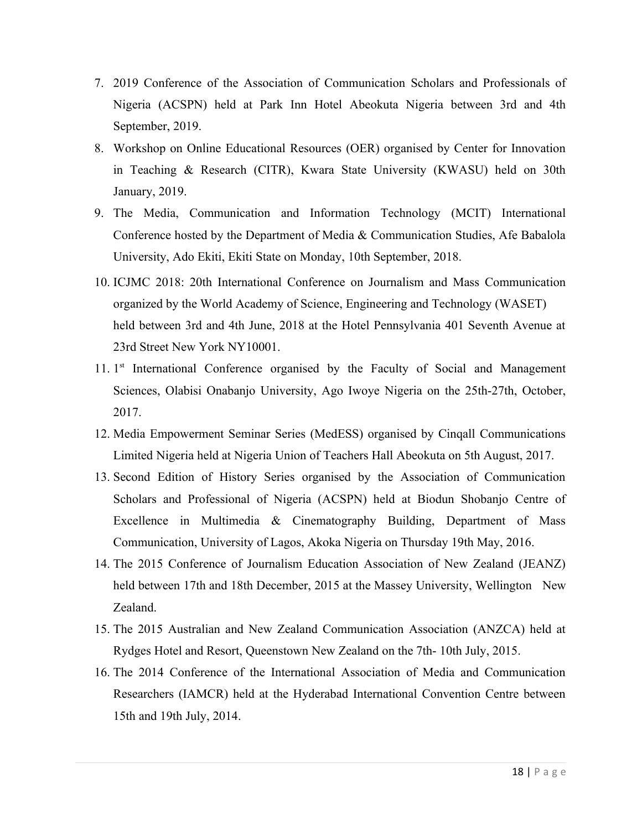- 7. 2019 Conference of the Association of Communication Scholars and Professionals of Nigeria (ACSPN) held at Park Inn Hotel Abeokuta Nigeria between 3rd and 4th September, 2019.
- 8. Workshop on Online Educational Resources (OER) organised by Center for Innovation in Teaching & Research (CITR), Kwara State University (KWASU) held on 30th January, 2019.
- 9. The Media, Communication and Information Technology (MCIT) International Conference hosted by the Department of Media & Communication Studies, Afe Babalola University, Ado Ekiti, Ekiti State on Monday, 10th September, 2018.
- 10. ICJMC 2018: 20th International Conference on Journalism and Mass Communication organized by the World Academy of Science, Engineering and Technology (WASET) held between 3rd and 4th June, 2018 at the Hotel Pennsylvania 401 Seventh Avenue at 23rd Street New York NY10001.
- 11. 1<sup>st</sup> International Conference organised by the Faculty of Social and Management Sciences, Olabisi Onabanjo University, Ago Iwoye Nigeria on the 25th-27th, October, 2017.
- 12. Media Empowerment Seminar Series (MedESS) organised by Cinqall Communications Limited Nigeria held at Nigeria Union of Teachers Hall Abeokuta on 5th August, 2017.
- 13. Second Edition of History Series organised by the Association of Communication Scholars and Professional of Nigeria (ACSPN) held at Biodun Shobanjo Centre of Excellence in Multimedia & Cinematography Building, Department of Mass Communication, University of Lagos, Akoka Nigeria on Thursday 19th May, 2016.
- 14. The 2015 Conference of Journalism Education Association of New Zealand (JEANZ) held between 17th and 18th December, 2015 at the Massey University, Wellington New Zealand.
- 15. The 2015 Australian and New Zealand Communication Association (ANZCA) held at Rydges Hotel and Resort, Queenstown New Zealand on the 7th- 10th July, 2015.
- 16. The 2014 Conference of the International Association of Media and Communication Researchers (IAMCR) held at the Hyderabad International Convention Centre between 15th and 19th July, 2014.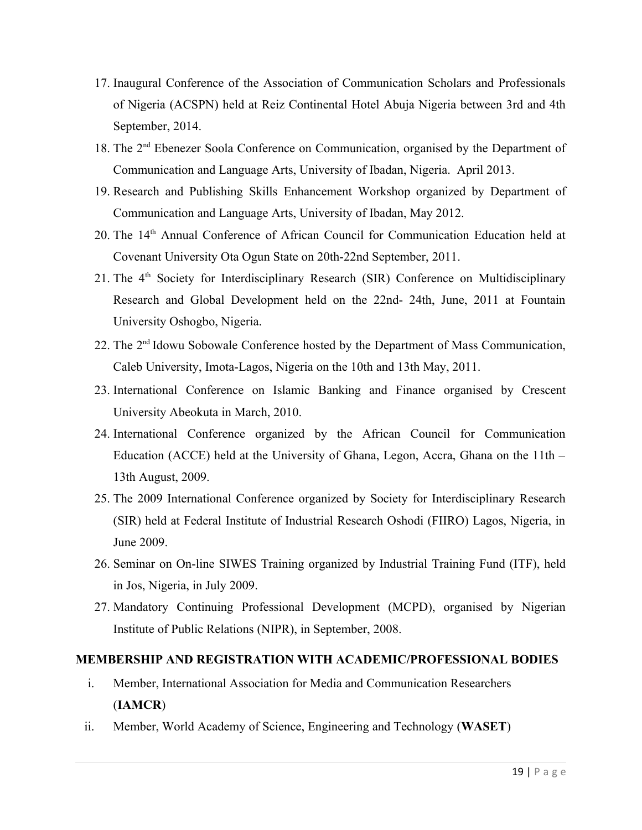- 17. Inaugural Conference of the Association of Communication Scholars and Professionals of Nigeria (ACSPN) held at Reiz Continental Hotel Abuja Nigeria between 3rd and 4th September, 2014.
- 18. The 2nd Ebenezer Soola Conference on Communication, organised by the Department of Communication and Language Arts, University of Ibadan, Nigeria. April 2013.
- 19. Research and Publishing Skills Enhancement Workshop organized by Department of Communication and Language Arts, University of Ibadan, May 2012.
- 20. The 14<sup>th</sup> Annual Conference of African Council for Communication Education held at Covenant University Ota Ogun State on 20th-22nd September, 2011.
- 21. The 4<sup>th</sup> Society for Interdisciplinary Research (SIR) Conference on Multidisciplinary Research and Global Development held on the 22nd- 24th, June, 2011 at Fountain University Oshogbo, Nigeria.
- 22. The 2nd Idowu Sobowale Conference hosted by the Department of Mass Communication, Caleb University, Imota-Lagos, Nigeria on the 10th and 13th May, 2011.
- 23. International Conference on Islamic Banking and Finance organised by Crescent University Abeokuta in March, 2010.
- 24. International Conference organized by the African Council for Communication Education (ACCE) held at the University of Ghana, Legon, Accra, Ghana on the 11th – 13th August, 2009.
- 25. The 2009 International Conference organized by Society for Interdisciplinary Research (SIR) held at Federal Institute of Industrial Research Oshodi (FIIRO) Lagos, Nigeria, in June 2009.
- 26. Seminar on On-line SIWES Training organized by Industrial Training Fund (ITF), held in Jos, Nigeria, in July 2009.
- 27. Mandatory Continuing Professional Development (MCPD), organised by Nigerian Institute of Public Relations (NIPR), in September, 2008.

#### **MEMBERSHIP AND REGISTRATION WITH ACADEMIC/PROFESSIONAL BODIES**

- i. Member, International Association for Media and Communication Researchers (**IAMCR**)
- ii. Member, World Academy of Science, Engineering and Technology (**WASET**)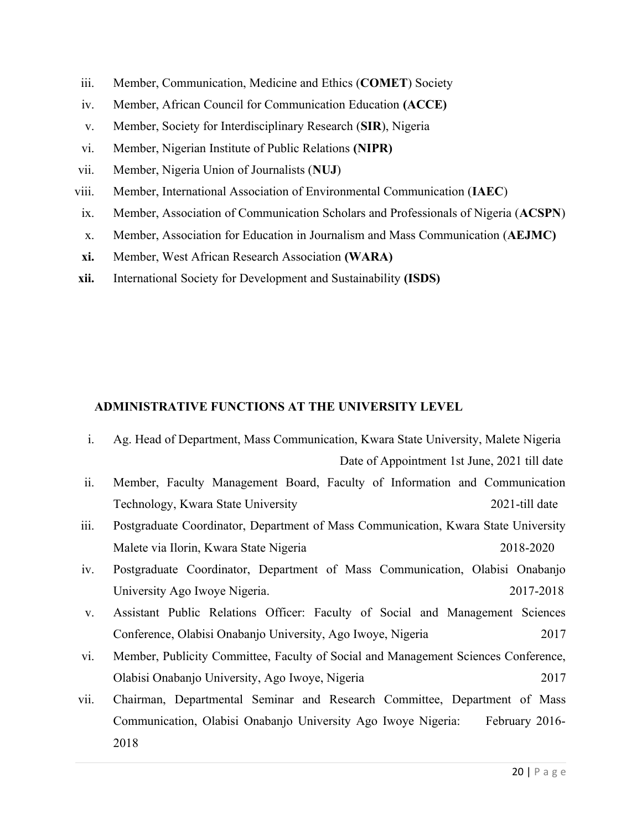- iii. Member, Communication, Medicine and Ethics (**COMET**) Society
- iv. Member, African Council for Communication Education **(ACCE)**
- v. Member, Society for Interdisciplinary Research (**SIR**), Nigeria
- vi. Member, Nigerian Institute of Public Relations **(NIPR)**
- vii. Member, Nigeria Union of Journalists (**NUJ**)
- viii. Member, International Association of Environmental Communication (**IAEC**)
- ix. Member, Association of Communication Scholars and Professionals of Nigeria (**ACSPN**)
- x. Member, Association for Education in Journalism and Mass Communication (**AEJMC)**
- **xi.** Member, West African Research Association **(WARA)**
- **xii.** International Society for Development and Sustainability **(ISDS)**

#### **ADMINISTRATIVE FUNCTIONS AT THE UNIVERSITY LEVEL**

- i. Ag. Head of Department, Mass Communication, Kwara State University, Malete Nigeria Date of Appointment 1st June, 2021 till date ii. Member, Faculty Management Board, Faculty of Information and Communication Technology, Kwara State University 2021-till date
- iii. Postgraduate Coordinator, Department of Mass Communication, Kwara State University Malete via Ilorin, Kwara State Nigeria 2018-2020
- iv. Postgraduate Coordinator, Department of Mass Communication, Olabisi Onabanjo University Ago Iwoye Nigeria. 2017-2018
- v. Assistant Public Relations Officer: Faculty of Social and Management Sciences Conference, Olabisi Onabanjo University, Ago Iwoye, Nigeria 2017
- vi. Member, Publicity Committee, Faculty of Social and Management Sciences Conference, Olabisi Onabanjo University, Ago Iwoye, Nigeria 2017
- vii. Chairman, Departmental Seminar and Research Committee, Department of Mass Communication, Olabisi Onabanjo University Ago Iwoye Nigeria: February 2016- 2018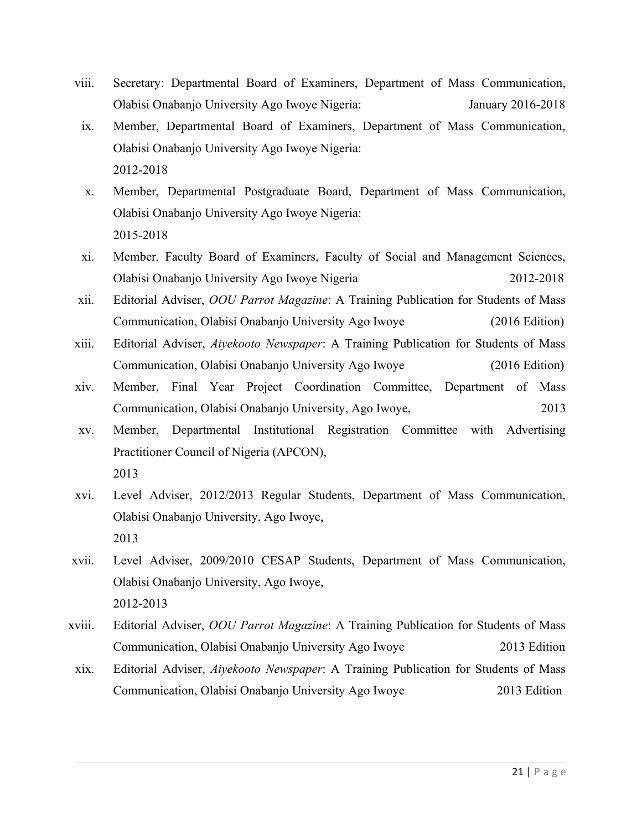- viii. Secretary: Departmental Board of Examiners, Department of Mass Communication, Olabisi Onabanjo University Ago Iwoye Nigeria: January 2016-2018
- ix. Member, Departmental Board of Examiners, Department of Mass Communication, Olabisi Onabanjo University Ago Iwoye Nigeria: 2012-2018
- x. Member, Departmental Postgraduate Board, Department of Mass Communication, Olabisi Onabanjo University Ago Iwoye Nigeria: 2015-2018
- xi. Member, Faculty Board of Examiners, Faculty of Social and Management Sciences, Olabisi Onabanjo University Ago Iwoye Nigeria 2012-2018
- xii. Editorial Adviser, *OOU Parrot Magazine*: A Training Publication for Students of Mass Communication, Olabisi Onabanjo University Ago Iwoye (2016 Edition)
- xiii. Editorial Adviser, *Aiyekooto Newspaper*: A Training Publication for Students of Mass Communication, Olabisi Onabanjo University Ago Iwoye (2016 Edition)
- xiv. Member, Final Year Project Coordination Committee, Department of Mass Communication, Olabisi Onabanjo University, Ago Iwoye, 2013
- xv. Member, Departmental Institutional Registration Committee with Advertising Practitioner Council of Nigeria (APCON), 2013
- xvi. Level Adviser, 2012/2013 Regular Students, Department of Mass Communication, Olabisi Onabanjo University, Ago Iwoye, 2013
- xvii. Level Adviser, 2009/2010 CESAP Students, Department of Mass Communication, Olabisi Onabanjo University, Ago Iwoye, 2012-2013
- xviii. Editorial Adviser, *OOU Parrot Magazine*: A Training Publication for Students of Mass Communication, Olabisi Onabanjo University Ago Iwoye 2013 Edition
- xix. Editorial Adviser, *Aiyekooto Newspaper*: A Training Publication for Students of Mass Communication, Olabisi Onabanjo University Ago Iwoye 2013 Edition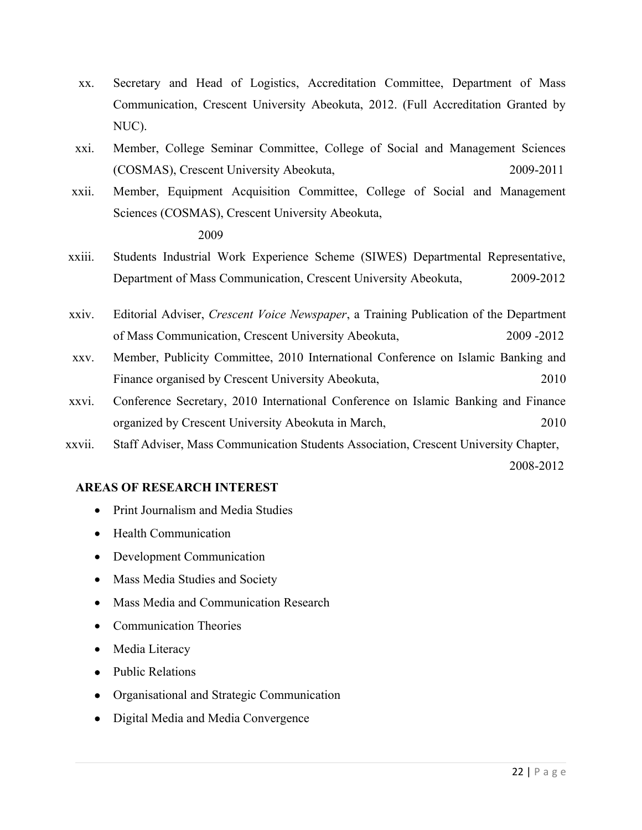- xx. Secretary and Head of Logistics, Accreditation Committee, Department of Mass Communication, Crescent University Abeokuta, 2012. (Full Accreditation Granted by NUC).
- xxi. Member, College Seminar Committee, College of Social and Management Sciences (COSMAS), Crescent University Abeokuta, 2009-2011
- xxii. Member, Equipment Acquisition Committee, College of Social and Management Sciences (COSMAS), Crescent University Abeokuta, 2009
- xxiii. Students Industrial Work Experience Scheme (SIWES) Departmental Representative, Department of Mass Communication, Crescent University Abeokuta, 2009-2012
- xxiv. Editorial Adviser, *Crescent Voice Newspaper*, a Training Publication of the Department of Mass Communication, Crescent University Abeokuta, 2009 -2012
- xxv. Member, Publicity Committee, 2010 International Conference on Islamic Banking and Finance organised by Crescent University Abeokuta, 2010
- xxvi. Conference Secretary, 2010 International Conference on Islamic Banking and Finance organized by Crescent University Abeokuta in March, 2010
- xxvii. Staff Adviser, Mass Communication Students Association, Crescent University Chapter,

2008-2012

#### **AREAS OF RESEARCH INTEREST**

- Print Journalism and Media Studies
- Health Communication
- Development Communication
- Mass Media Studies and Society
- Mass Media and Communication Research
- Communication Theories
- Media Literacy
- Public Relations
- Organisational and Strategic Communication
- Digital Media and Media Convergence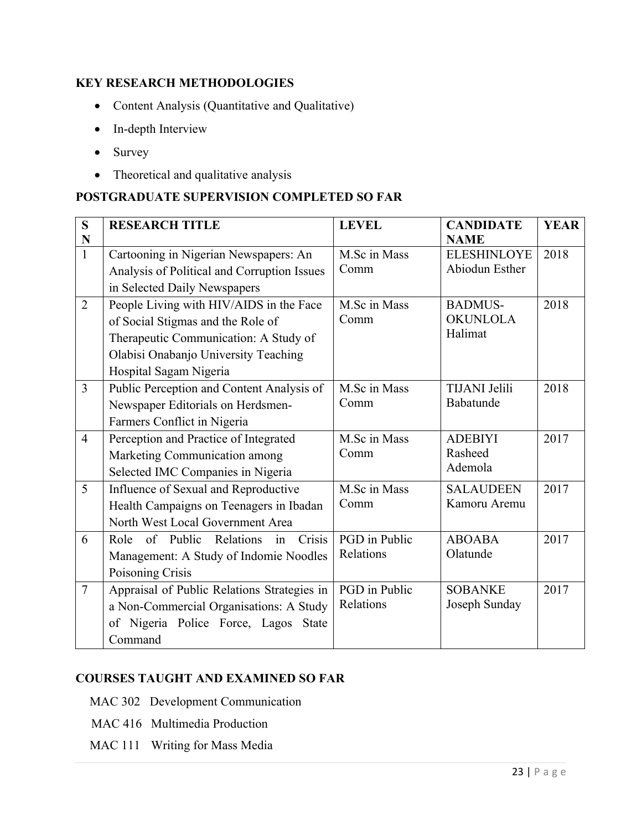# **KEY RESEARCH METHODOLOGIES**

- Content Analysis (Quantitative and Qualitative)
- In-depth Interview
- Survey
- Theoretical and qualitative analysis

### **POSTGRADUATE SUPERVISION COMPLETED SO FAR**

| S              | <b>RESEARCH TITLE</b>                          | <b>LEVEL</b>  | <b>CANDIDATE</b>     | <b>YEAR</b> |
|----------------|------------------------------------------------|---------------|----------------------|-------------|
| N              |                                                |               | <b>NAME</b>          |             |
| $\mathbf{1}$   | Cartooning in Nigerian Newspapers: An          | M.Sc in Mass  | <b>ELESHINLOYE</b>   | 2018        |
|                | Analysis of Political and Corruption Issues    | Comm          | Abiodun Esther       |             |
|                | in Selected Daily Newspapers                   |               |                      |             |
| $\overline{2}$ | People Living with HIV/AIDS in the Face        | M.Sc in Mass  | <b>BADMUS-</b>       | 2018        |
|                | of Social Stigmas and the Role of              | Comm          | <b>OKUNLOLA</b>      |             |
|                | Therapeutic Communication: A Study of          |               | Halimat              |             |
|                | Olabisi Onabanjo University Teaching           |               |                      |             |
|                | Hospital Sagam Nigeria                         |               |                      |             |
| $\overline{3}$ | Public Perception and Content Analysis of      | M.Sc in Mass  | <b>TIJANI</b> Jelili | 2018        |
|                | Newspaper Editorials on Herdsmen-              | Comm          | Babatunde            |             |
|                | Farmers Conflict in Nigeria                    |               |                      |             |
| $\overline{4}$ | Perception and Practice of Integrated          | M.Sc in Mass  | <b>ADEBIYI</b>       | 2017        |
|                | Marketing Communication among                  | Comm          | Rasheed              |             |
|                | Selected IMC Companies in Nigeria              |               | Ademola              |             |
| 5              | Influence of Sexual and Reproductive           | M.Sc in Mass  | <b>SALAUDEEN</b>     | 2017        |
|                | Health Campaigns on Teenagers in Ibadan        | Comm          | Kamoru Aremu         |             |
|                | North West Local Government Area               |               |                      |             |
| 6              | of Public<br>Relations<br>Crisis<br>Role<br>in | PGD in Public | <b>ABOABA</b>        | 2017        |
|                | Management: A Study of Indomie Noodles         | Relations     | Olatunde             |             |
|                | Poisoning Crisis                               |               |                      |             |
| $\overline{7}$ | Appraisal of Public Relations Strategies in    | PGD in Public | <b>SOBANKE</b>       | 2017        |
|                | a Non-Commercial Organisations: A Study        | Relations     | Joseph Sunday        |             |
|                | of Nigeria Police Force, Lagos<br><b>State</b> |               |                      |             |
|                | Command                                        |               |                      |             |

#### **COURSES TAUGHT AND EXAMINED SO FAR**

- MAC 302 Development Communication
- MAC 416 Multimedia Production
- MAC 111 Writing for Mass Media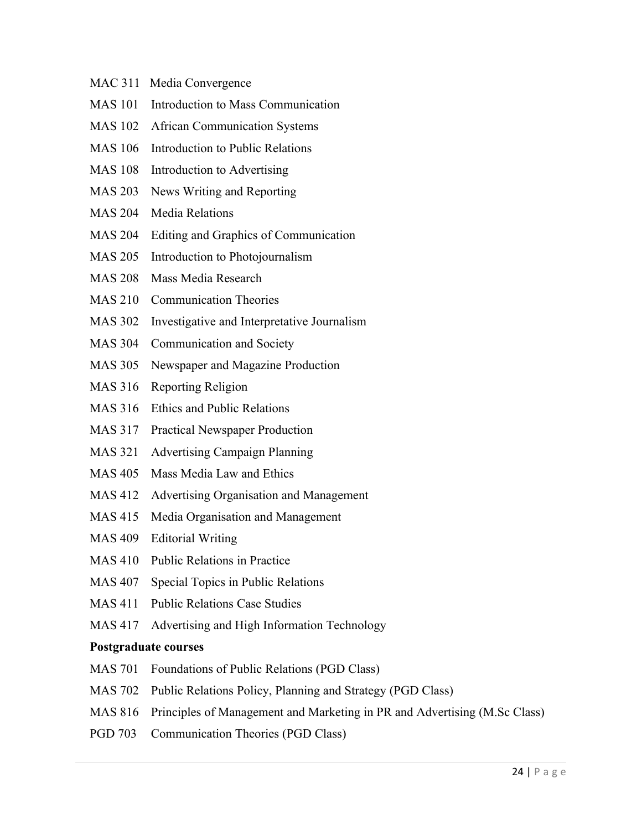- MAC 311 Media Convergence
- MAS 101 Introduction to Mass Communication
- MAS 102 African Communication Systems
- MAS 106 Introduction to Public Relations
- MAS 108 Introduction to Advertising
- MAS 203 News Writing and Reporting
- MAS 204 Media Relations
- MAS 204 Editing and Graphics of Communication
- MAS 205 Introduction to Photojournalism
- MAS 208 Mass Media Research
- MAS 210 Communication Theories
- MAS 302 Investigative and Interpretative Journalism
- MAS 304 Communication and Society
- MAS 305 Newspaper and Magazine Production
- MAS 316 Reporting Religion
- MAS 316 Ethics and Public Relations
- MAS 317 Practical Newspaper Production
- MAS 321 Advertising Campaign Planning
- MAS 405 Mass Media Law and Ethics
- MAS 412 Advertising Organisation and Management
- MAS 415 Media Organisation and Management
- MAS 409 Editorial Writing
- MAS 410 Public Relations in Practice
- MAS 407 Special Topics in Public Relations
- MAS 411 Public Relations Case Studies
- MAS 417 Advertising and High Information Technology

#### **Postgraduate courses**

- MAS 701 Foundations of Public Relations (PGD Class)
- MAS 702 Public Relations Policy, Planning and Strategy (PGD Class)
- MAS 816 Principles of Management and Marketing in PR and Advertising (M.Sc Class)
- PGD 703 Communication Theories (PGD Class)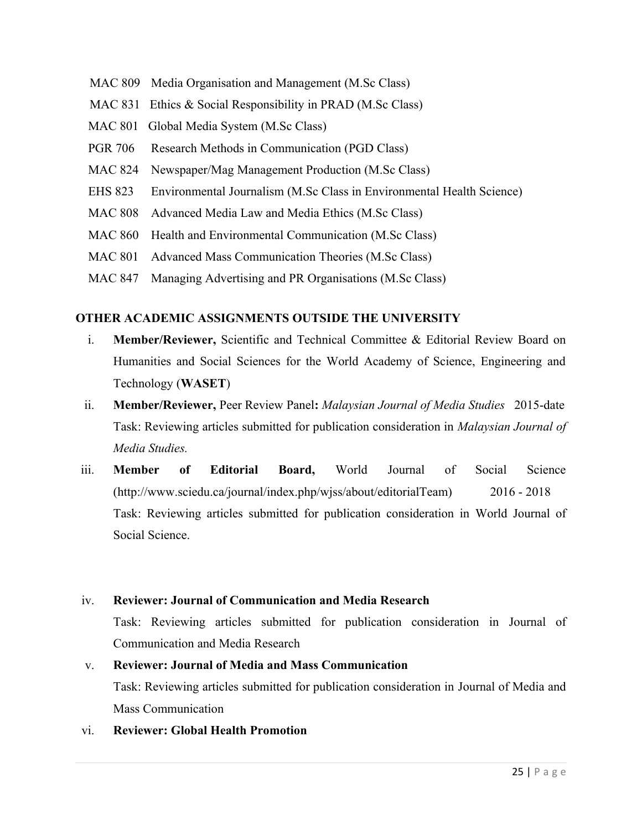- MAC 809 Media Organisation and Management (M.Sc Class)
- MAC 831 Ethics & Social Responsibility in PRAD (M.Sc Class)
- MAC 801 Global Media System (M.Sc Class)
- PGR 706 Research Methods in Communication (PGD Class)
- MAC 824 Newspaper/Mag Management Production (M.Sc Class)
- EHS 823 Environmental Journalism (M.Sc Class in Environmental Health Science)
- MAC 808 Advanced Media Law and Media Ethics (M.Sc Class)
- MAC 860 Health and Environmental Communication (M.Sc Class)
- MAC 801 Advanced Mass Communication Theories (M.Sc Class)
- MAC 847 Managing Advertising and PR Organisations (M.Sc Class)

#### **OTHER ACADEMIC ASSIGNMENTS OUTSIDE THE UNIVERSITY**

- i. **Member/Reviewer,** Scientific and Technical Committee & Editorial Review Board on Humanities and Social Sciences for the World Academy of Science, Engineering and Technology (**WASET**)
- ii. **Member/Reviewer,** Peer Review Panel**:** *Malaysian Journal of Media Studies*2015-date Task: Reviewing articles submitted for publication consideration in *Malaysian Journal of Media Studies.*
- iii. **Member of Editorial Board,** World Journal of Social Science (http://www.sciedu.ca/journal/index.php/wjss/about/editorialTeam) 2016 - 2018 Task: Reviewing articles submitted for publication consideration in World Journal of Social Science.

#### iv. **Reviewer: Journal of Communication and Media Research**

Task: Reviewing articles submitted for publication consideration in Journal of Communication and Media Research

# v. **Reviewer: Journal of Media and Mass Communication** Task: Reviewing articles submitted for publication consideration in Journal of Media and Mass Communication

vi. **Reviewer: Global Health Promotion**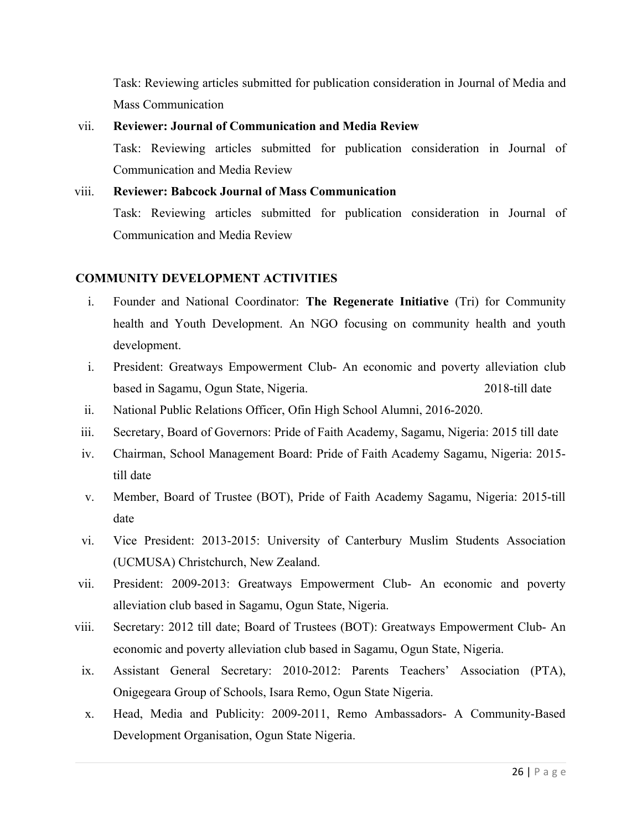Task: Reviewing articles submitted for publication consideration in Journal of Media and Mass Communication

# vii. **Reviewer: Journal of Communication and Media Review** Task: Reviewing articles submitted for publication consideration in Journal of Communication and Media Review

#### viii. **Reviewer: Babcock Journal of Mass Communication**

Task: Reviewing articles submitted for publication consideration in Journal of Communication and Media Review

#### **COMMUNITY DEVELOPMENT ACTIVITIES**

- i. Founder and National Coordinator: **The Regenerate Initiative** (Tri) for Community health and Youth Development. An NGO focusing on community health and youth development.
- i. President: Greatways Empowerment Club- An economic and poverty alleviation club based in Sagamu, Ogun State, Nigeria. 2018-till date
- ii. National Public Relations Officer, Ofin High School Alumni, 2016-2020.
- iii. Secretary, Board of Governors: Pride of Faith Academy, Sagamu, Nigeria: 2015 till date
- iv. Chairman, School Management Board: Pride of Faith Academy Sagamu, Nigeria: 2015 till date
- v. Member, Board of Trustee (BOT), Pride of Faith Academy Sagamu, Nigeria: 2015-till date
- vi. Vice President: 2013-2015: University of Canterbury Muslim Students Association (UCMUSA) Christchurch, New Zealand.
- vii. President: 2009-2013: Greatways Empowerment Club- An economic and poverty alleviation club based in Sagamu, Ogun State, Nigeria.
- viii. Secretary: 2012 till date; Board of Trustees (BOT): Greatways Empowerment Club- An economic and poverty alleviation club based in Sagamu, Ogun State, Nigeria.
- ix. Assistant General Secretary: 2010-2012: Parents Teachers' Association (PTA), Onigegeara Group of Schools, Isara Remo, Ogun State Nigeria.
- x. Head, Media and Publicity: 2009-2011, Remo Ambassadors- A Community-Based Development Organisation, Ogun State Nigeria.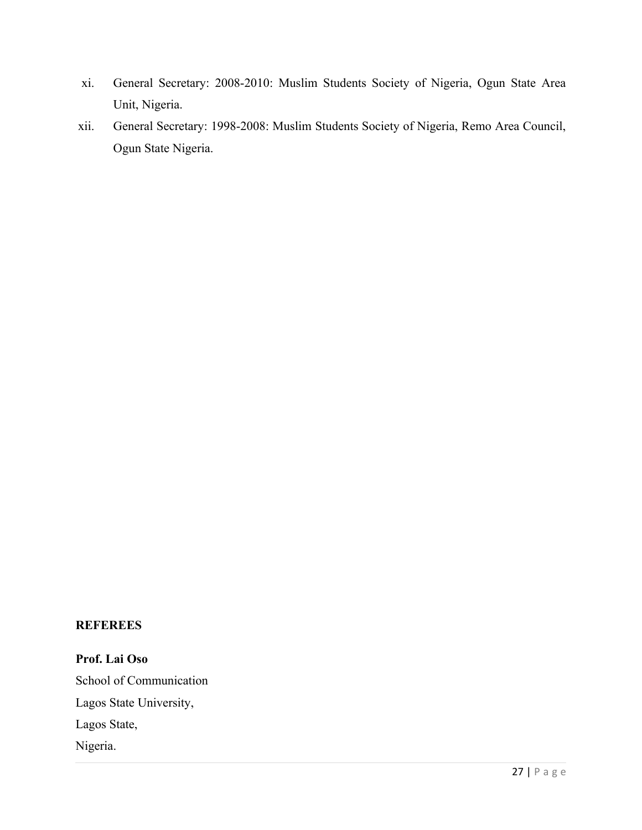- xi. General Secretary: 2008-2010: Muslim Students Society of Nigeria, Ogun State Area Unit, Nigeria.
- xii. General Secretary: 1998-2008: Muslim Students Society of Nigeria, Remo Area Council, Ogun State Nigeria.

#### **REFEREES**

**Prof. Lai Oso** School of Communication Lagos State University, Lagos State, Nigeria.